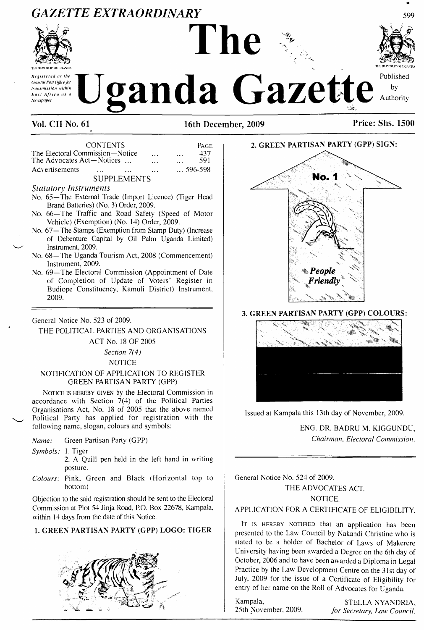## *GAZETTE EXTRAORDINARY*



*Newspaper*

# $\sum_{\text{Cayant Pumper}}$  **Examples (Second Position Contract Contract Contract Contract Contract Contract Contract Contract Contract Contract Contract Contract Contract Contract Contract Contract Contract Contract Contract Contrac**

**The**



**Vol. CII No. 61 16th December, 2009 Price: Shs. 1500**

CONTENTS PAGE<br>
nmission—Notice 1997 The Electoral Commission—Notice ... ... 437<br>The Advocates Act—Notices ... ... ... ... 591 The Advocates Act—Notices ... ... ... ... 591<br>Advertisements ... ... ... ... ... 596-598 Advertisements

#### SUPPLEMENTS

*Statutory Instruments*

- No. 65—The External Trade (Import Licence) (Tiger Head Brand Batteries) (No. 3) Order, 2009.
- No. 66—The Traffic and Road Safety (Speed of Motor Vehicle) (Exemption) (No. 14) Order, 2009.
- No. 67—The Stamps (Exemption from Stamp Duty) (Increase of Debenture Capital by Oil Palm Uganda Limited) Instrument, 2009.
- No. 68—The Uganda Tourism Act, 2008 (Commencement) Instrument, 2009.
- No. 69—The Electoral Commission (Appointment of Date of Completion of Update of Voters' Register in Budiope Constituency, Kamuli District) Instrument, 2009.

General Notice No. 523 of 2009.

## THE POLITICAL PARTIES AND ORGANISATIONS

ACT No. 18 OF 2005

## *Section 7(4)*

NOTICE

### NOTIFICATION OF APPLICATION TO REGISTER GREEN PARTISAN PARTY (GPP)

NOTICE IS HEREBY GIVEN by the Electoral Commission in accordance with Section  $7(4)$  of the Political Parties Organisations Act, No. 18 of 2005 that the above named Political Party has applied for registration with the following name, slogan, colours and symbols:

*Name:* Green Partisan Party (GPP)

*Symbols:* 1. Tiger

2. A Quill pen held in the left hand in writing posture.

*Colours:* Pink, Green and Black (Horizontal top to bottom)

Objection to the said registration should be sent to the Electoral Commission at Plot 54 Jinja Road, P.O. Box 22678, Kampala, within 14 days from the date of this Notice.

#### **1. GREEN PARTISAN PARTY (GPP) LOGO: TIGER**





## **3. GREEN PARTISAN PARTY (GPP) COLOURS:**



Issued at Kampala this 13th day of November, 2009.

ENG. DR. BADRU M. KIGGUNDU, *Chairman, Electoral Commission.*

General Notice No. 524 of 2009. THE ADVOCATES ACT

NOTICE.

## APPLICATION FOR A CERTIFICATE OF ELIGIBILITY.

IT IS HEREBY NOTIFIED that an application has been presented to the Law Council by Nakandi Christine who is stated to be a holder of Bachelor of Laws of Makerere University having been awarded a Degree on the 6th day of October, 2006 and to have been awarded a Diploma in Legal Practice by the Law Development Centre on the 31st day of July, 2009 for the issue of a Certificate of Eligibility for entry of her name on the Roll of Advocates for Uganda.

Kampala, STELLA NYANDRIA, 25th November, 2009. *for Secretary, Law Council.* 25th November. 2009. *for Secretary, Law Council.*